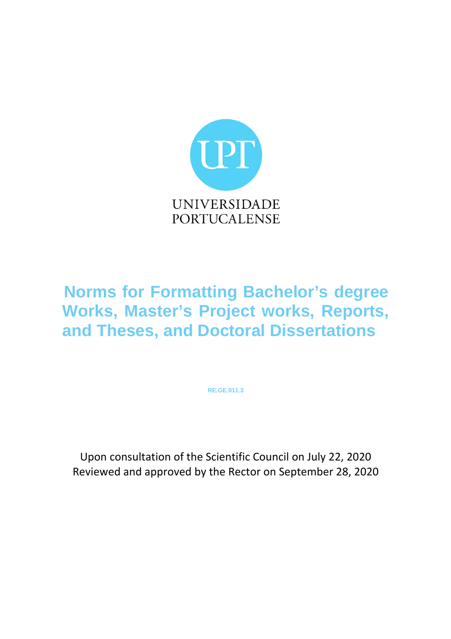

# **Norms for Formatting Bachelor's degree Works, Master's Project works, Reports, and Theses, and Doctoral Dissertations**

**RE.GE.011.3**

Upon consultation of the Scientific Council on July 22, 2020 Reviewed and approved by the Rector on September 28, 2020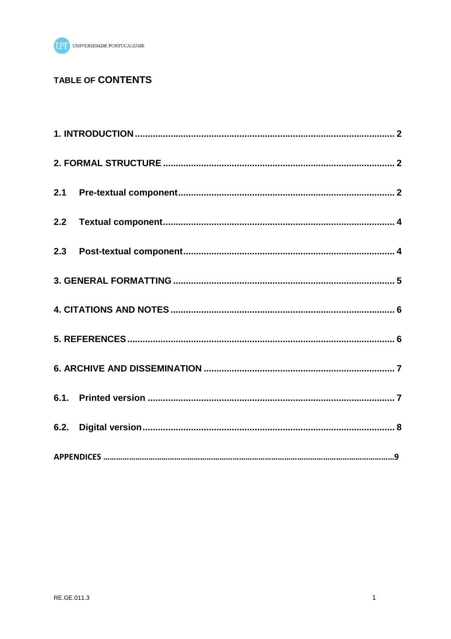

# TABLE OF CONTENTS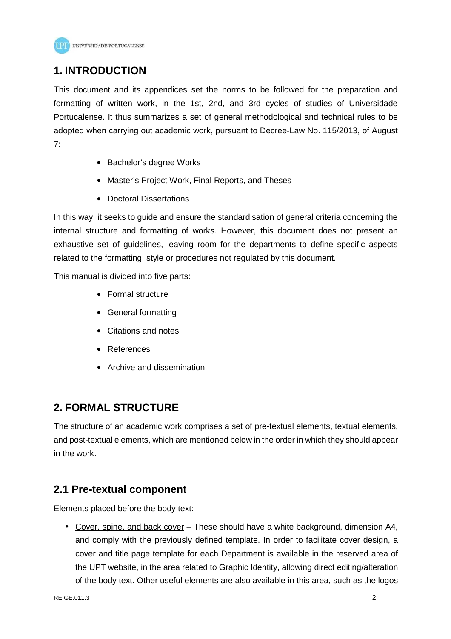

# **1. INTRODUCTION**

This document and its appendices set the norms to be followed for the preparation and formatting of written work, in the 1st, 2nd, and 3rd cycles of studies of Universidade Portucalense. It thus summarizes a set of general methodological and technical rules to be adopted when carrying out academic work, pursuant to Decree-Law No. 115/2013, of August 7:

- Bachelor's degree Works
- Master's Project Work, Final Reports, and Theses
- Doctoral Dissertations

In this way, it seeks to guide and ensure the standardisation of general criteria concerning the internal structure and formatting of works. However, this document does not present an exhaustive set of guidelines, leaving room for the departments to define specific aspects related to the formatting, style or procedures not regulated by this document.

This manual is divided into five parts:

- Formal structure
- General formatting
- Citations and notes
- References
- Archive and dissemination

# **2. FORMAL STRUCTURE**

The structure of an academic work comprises a set of pre-textual elements, textual elements, and post-textual elements, which are mentioned below in the order in which they should appear in the work.

# **2.1 Pre-textual component**

Elements placed before the body text:

• Cover, spine, and back cover – These should have a white background, dimension A4, and comply with the previously defined template. In order to facilitate cover design, a cover and title page template for each Department is available in the reserved area of the UPT website, in the area related to Graphic Identity, allowing direct editing/alteration of the body text. Other useful elements are also available in this area, such as the logos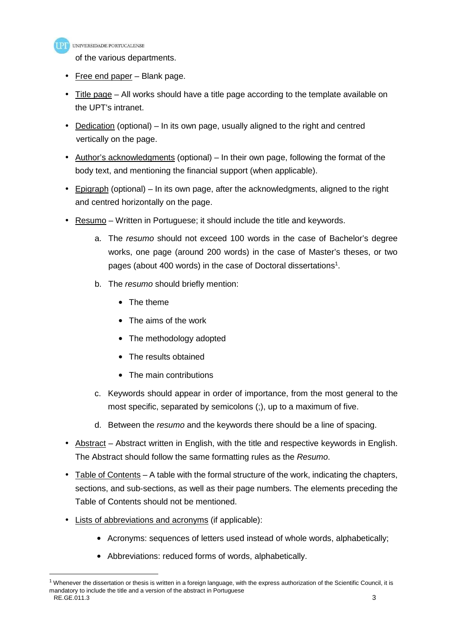

of the various departments.

- Free end paper Blank page.
- Title page All works should have a title page according to the template available on the UPT's intranet.
- Dedication (optional) In its own page, usually aligned to the right and centred vertically on the page.
- Author's acknowledgments (optional) In their own page, following the format of the body text, and mentioning the financial support (when applicable).
- Epigraph (optional) In its own page, after the acknowledgments, aligned to the right and centred horizontally on the page.
- Resumo Written in Portuguese: it should include the title and keywords.
	- a. The resumo should not exceed 100 words in the case of Bachelor's degree works, one page (around 200 words) in the case of Master's theses, or two pages (about 400 words) in the case of Doctoral dissertations<sup>1</sup>.
	- b. The resumo should briefly mention:
		- The theme
		- The aims of the work
		- The methodology adopted
		- The results obtained
		- The main contributions
	- c. Keywords should appear in order of importance, from the most general to the most specific, separated by semicolons (;), up to a maximum of five.
	- d. Between the resumo and the keywords there should be a line of spacing.
- Abstract Abstract written in English, with the title and respective keywords in English. The Abstract should follow the same formatting rules as the Resumo.
- Table of Contents  $-$  A table with the formal structure of the work, indicating the chapters, sections, and sub-sections, as well as their page numbers. The elements preceding the Table of Contents should not be mentioned.
- Lists of abbreviations and acronyms (if applicable):
	- Acronyms: sequences of letters used instead of whole words, alphabetically;
	- Abbreviations: reduced forms of words, alphabetically.

RE.GE.011.3 3  $1$  Whenever the dissertation or thesis is written in a foreign language, with the express authorization of the Scientific Council, it is mandatory to include the title and a version of the abstract in Portuguese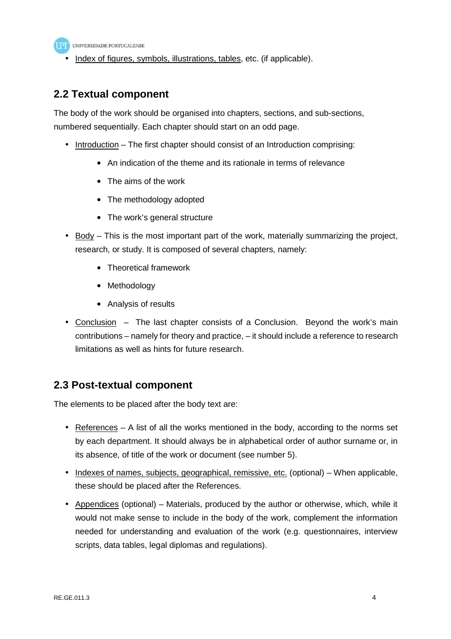

• Index of figures, symbols, illustrations, tables, etc. (if applicable).

# **2.2 Textual component**

The body of the work should be organised into chapters, sections, and sub-sections, numbered sequentially. Each chapter should start on an odd page.

- Introduction The first chapter should consist of an Introduction comprising:
	- An indication of the theme and its rationale in terms of relevance
	- The aims of the work
	- The methodology adopted
	- The work's general structure
- Body This is the most important part of the work, materially summarizing the project, research, or study. It is composed of several chapters, namely:
	- Theoretical framework
	- Methodology
	- Analysis of results
- Conclusion The last chapter consists of a Conclusion. Beyond the work's main contributions – namely for theory and practice, – it should include a reference to research limitations as well as hints for future research.

# **2.3 Post-textual component**

The elements to be placed after the body text are:

- References A list of all the works mentioned in the body, according to the norms set by each department. It should always be in alphabetical order of author surname or, in its absence, of title of the work or document (see number 5).
- Indexes of names, subjects, geographical, remissive, etc. (optional) When applicable, these should be placed after the References.
- Appendices (optional) Materials, produced by the author or otherwise, which, while it would not make sense to include in the body of the work, complement the information needed for understanding and evaluation of the work (e.g. questionnaires, interview scripts, data tables, legal diplomas and regulations).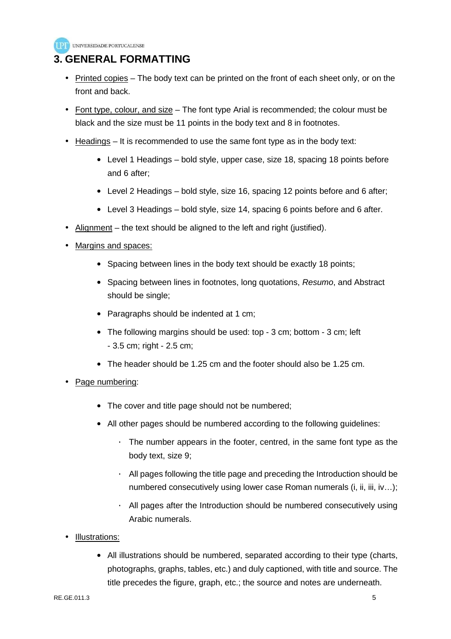

# **3. GENERAL FORMATTING**

- Printed copies  $-$  The body text can be printed on the front of each sheet only, or on the front and back.
- Font type, colour, and size The font type Arial is recommended; the colour must be black and the size must be 11 points in the body text and 8 in footnotes.
- $\bullet$  Headings It is recommended to use the same font type as in the body text:
	- Level 1 Headings bold style, upper case, size 18, spacing 18 points before and 6 after;
	- Level 2 Headings bold style, size 16, spacing 12 points before and 6 after;
	- Level 3 Headings bold style, size 14, spacing 6 points before and 6 after.
- Alignment the text should be aligned to the left and right (justified).
- Margins and spaces:
	- Spacing between lines in the body text should be exactly 18 points;
	- Spacing between lines in footnotes, long quotations, Resumo, and Abstract should be single;
	- Paragraphs should be indented at 1 cm;
	- The following margins should be used: top 3 cm; bottom 3 cm; left - 3.5 cm; right - 2.5 cm;
	- The header should be 1.25 cm and the footer should also be 1.25 cm.
- Page numbering:
	- The cover and title page should not be numbered;
	- All other pages should be numbered according to the following guidelines:
		- The number appears in the footer, centred, in the same font type as the body text, size 9;
		- · All pages following the title page and preceding the Introduction should be numbered consecutively using lower case Roman numerals (i, ii, iii, iv…);
		- · All pages after the Introduction should be numbered consecutively using Arabic numerals.
- Illustrations:
	- All illustrations should be numbered, separated according to their type (charts, photographs, graphs, tables, etc.) and duly captioned, with title and source. The title precedes the figure, graph, etc.; the source and notes are underneath.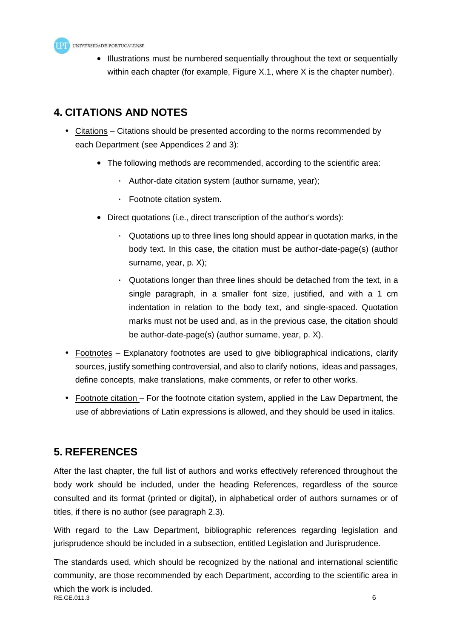

• Illustrations must be numbered sequentially throughout the text or sequentially within each chapter (for example, Figure X.1, where X is the chapter number).

# **4. CITATIONS AND NOTES**

- Citations Citations should be presented according to the norms recommended by each Department (see Appendices 2 and 3):
	- The following methods are recommended, according to the scientific area:
		- · Author-date citation system (author surname, year);
		- · Footnote citation system.
	- Direct quotations (i.e., direct transcription of the author's words):
		- $\cdot$  Quotations up to three lines long should appear in quotation marks, in the body text. In this case, the citation must be author-date-page(s) (author surname, year, p. X);
		- · Quotations longer than three lines should be detached from the text, in a single paragraph, in a smaller font size, justified, and with a 1 cm indentation in relation to the body text, and single-spaced. Quotation marks must not be used and, as in the previous case, the citation should be author-date-page(s) (author surname, year, p. X).
- Footnotes Explanatory footnotes are used to give bibliographical indications, clarify sources, justify something controversial, and also to clarify notions, ideas and passages, define concepts, make translations, make comments, or refer to other works.
- Footnote citation For the footnote citation system, applied in the Law Department, the use of abbreviations of Latin expressions is allowed, and they should be used in italics.

# **5. REFERENCES**

After the last chapter, the full list of authors and works effectively referenced throughout the body work should be included, under the heading References, regardless of the source consulted and its format (printed or digital), in alphabetical order of authors surnames or of titles, if there is no author (see paragraph 2.3).

With regard to the Law Department, bibliographic references regarding legislation and jurisprudence should be included in a subsection, entitled Legislation and Jurisprudence.

RE.GE.011.3 6 The standards used, which should be recognized by the national and international scientific community, are those recommended by each Department, according to the scientific area in which the work is included.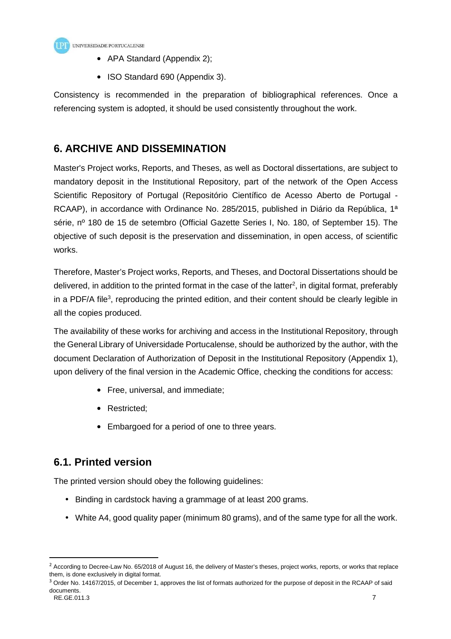

- APA Standard (Appendix 2);
- ISO Standard 690 (Appendix 3).

Consistency is recommended in the preparation of bibliographical references. Once a referencing system is adopted, it should be used consistently throughout the work.

# **6. ARCHIVE AND DISSEMINATION**

Master's Project works, Reports, and Theses, as well as Doctoral dissertations, are subject to mandatory deposit in the Institutional Repository, part of the network of the Open Access Scientific Repository of Portugal (Repositório Científico de Acesso Aberto de Portugal - RCAAP), in accordance with Ordinance No. 285/2015, published in Diário da República, 1<sup>a</sup> série, nº 180 de 15 de setembro (Official Gazette Series I, No. 180, of September 15). The objective of such deposit is the preservation and dissemination, in open access, of scientific works.

Therefore, Master's Project works, Reports, and Theses, and Doctoral Dissertations should be delivered, in addition to the printed format in the case of the latter<sup>2</sup>, in digital format, preferably in a PDF/A file<sup>3</sup>, reproducing the printed edition, and their content should be clearly legible in all the copies produced.

The availability of these works for archiving and access in the Institutional Repository, through the General Library of Universidade Portucalense, should be authorized by the author, with the document Declaration of Authorization of Deposit in the Institutional Repository (Appendix 1), upon delivery of the final version in the Academic Office, checking the conditions for access:

- Free, universal, and immediate;
- Restricted;
- Embargoed for a period of one to three years.

# **6.1. Printed version**

The printed version should obey the following guidelines:

- Binding in cardstock having a grammage of at least 200 grams.
- White A4, good quality paper (minimum 80 grams), and of the same type for all the work.

 $2$  According to Decree-Law No. 65/2018 of August 16, the delivery of Master's theses, project works, reports, or works that replace them, is done exclusively in digital format.

<sup>&</sup>lt;sup>3</sup> Order No. 14167/2015, of December 1, approves the list of formats authorized for the purpose of deposit in the RCAAP of said documents.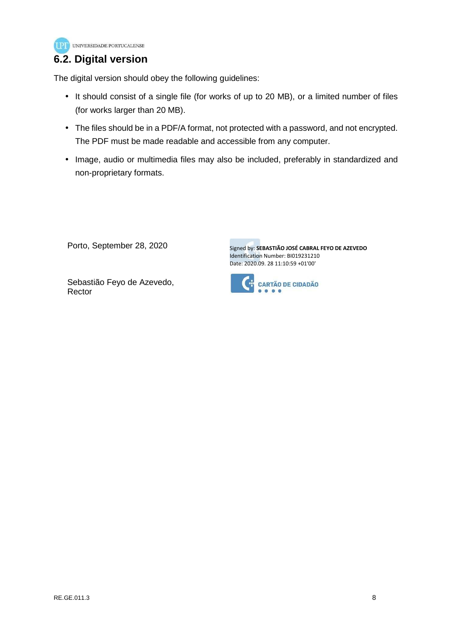

# **6.2. Digital version**

The digital version should obey the following guidelines:

- It should consist of a single file (for works of up to 20 MB), or a limited number of files (for works larger than 20 MB).
- The files should be in a PDF/A format, not protected with a password, and not encrypted. The PDF must be made readable and accessible from any computer.
- Image, audio or multimedia files may also be included, preferably in standardized and non-proprietary formats.

Porto, September 28, 2020

Signed by: **SEBASTIÃO JOSÉ CABRAL FEYO DE AZEVEDO**  Identification Number: BI019231210 Date: 2020.09. 28 11:10:59 +01'00'



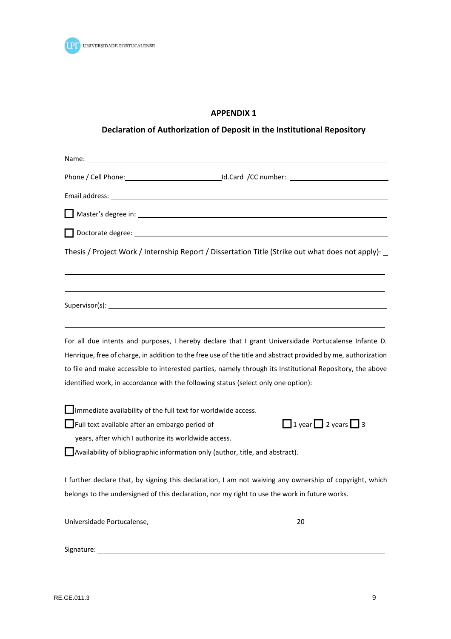

# **APPENDIX 1**

# **Declaration of Authorization of Deposit in the Institutional Repository**

Name: Name and the second contract of the second contract of the second contract of the second contract of the second contract of the second contract of the second contract of the second contract of the second contract of Phone / Cell Phone: Id.Card /CC number: Interventional Phone / Cell Phone: Interventional Phone 2014 Email address: Master's degree in: Doctorate degree: Thesis / Project Work / Internship Report / Dissertation Title (Strike out what does not apply): Supervisor(s): Note also a series and supervisor (s): Note a series and supervisor (s): Note a series and supervisor (s): Note a series and supervisor (s): Note a series and supervisor (s): Note a series and supervisor (s) For all due intents and purposes, I hereby declare that I grant Universidade Portucalense Infante D. Henrique, free of charge, in addition to the free use of the title and abstract provided by me, authorization to file and make accessible to interested parties, namely through its Institutional Repository, the above identified work, in accordance with the following status (select only one option): Immediate availability of the full text for worldwide access. **T** Full text available after an embargo period of  $\Box$  1 year  $\Box$  2 years  $\Box$  3 years, after which I authorize its worldwide access. Availability of bibliographic information only (author, title, and abstract). I further declare that, by signing this declaration, I am not waiving any ownership of copyright, which belongs to the undersigned of this declaration, nor my right to use the work in future works. Universidade Portucalense, 20 20 20 Signature: 1999 and 1999 and 1999 and 1999 and 1999 and 1999 and 1999 and 1999 and 1999 and 1999 and 1999 and 1999 and 1999 and 1999 and 1999 and 1999 and 1999 and 1999 and 1999 and 1999 and 1999 and 1999 and 1999 and 1999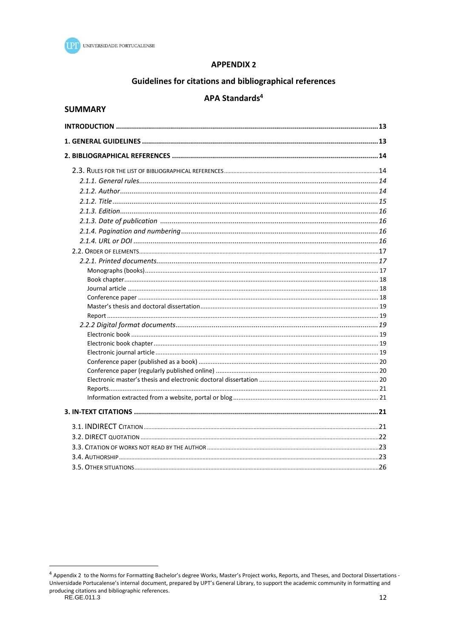

# **APPENDIX 2**

# Guidelines for citations and bibliographical references

# APA Standards<sup>4</sup>

# **SUMMARY**

<sup>4</sup> Appendix 2 to the Norms for Formatting Bachelor's degree Works, Master's Project works, Reports, and Theses, and Doctoral Dissertations -Universidade Portucalense's internal document, prepared by UPT's General Library, to support the academic community in formatting and producing citations and bibliographic references.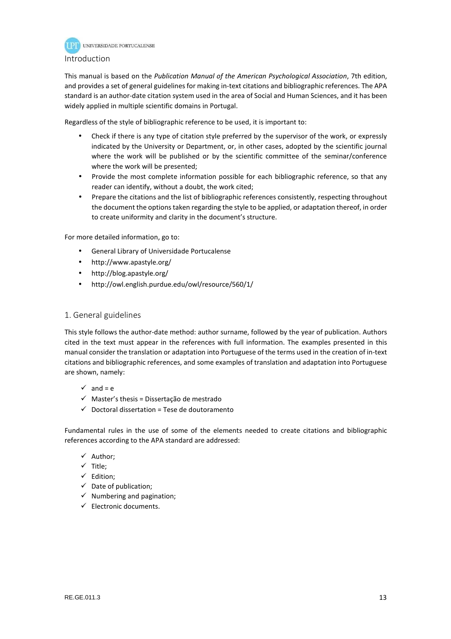

# Introduction

This manual is based on the *Publication Manual of the American Psychological Association*, 7th edition, and provides a set of general guidelines for making in-text citations and bibliographic references. The APA standard is an author-date citation system used in the area of Social and Human Sciences, and it has been widely applied in multiple scientific domains in Portugal.

Regardless of the style of bibliographic reference to be used, it is important to:

- Check if there is any type of citation style preferred by the supervisor of the work, or expressly indicated by the University or Department, or, in other cases, adopted by the scientific journal where the work will be published or by the scientific committee of the seminar/conference where the work will be presented;
- Provide the most complete information possible for each bibliographic reference, so that any reader can identify, without a doubt, the work cited;
- Prepare the citations and the list of bibliographic references consistently, respecting throughout the document the options taken regarding the style to be applied, or adaptation thereof, in order to create uniformity and clarity in the document's structure.

For more detailed information, go to:

- General Library of Universidade Portucalense
- http://www.apastyle.org/
- http://blog.apastyle.org/
- http://owl.english.purdue.edu/owl/resource/560/1/

# 1. General guidelines

This style follows the author-date method: author surname, followed by the year of publication. Authors cited in the text must appear in the references with full information. The examples presented in this manual consider the translation or adaptation into Portuguese of the terms used in the creation of in-text citations and bibliographic references, and some examples of translation and adaptation into Portuguese are shown, namely:

- $\checkmark$  and = e
- $\checkmark$  Master's thesis = Dissertação de mestrado
- $\checkmark$  Doctoral dissertation = Tese de doutoramento

Fundamental rules in the use of some of the elements needed to create citations and bibliographic references according to the APA standard are addressed:

- $\checkmark$  Author:
- $\checkmark$  Title;
- $\checkmark$  Edition;
- $\checkmark$  Date of publication;
- $\checkmark$  Numbering and pagination;
- $\checkmark$  Electronic documents.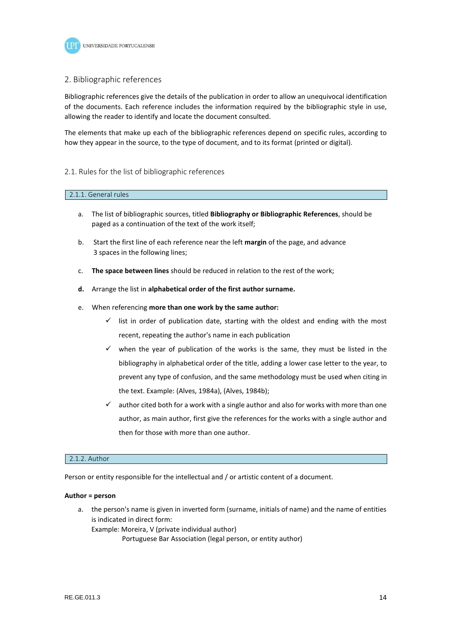

### 2. Bibliographic references

Bibliographic references give the details of the publication in order to allow an unequivocal identification of the documents. Each reference includes the information required by the bibliographic style in use, allowing the reader to identify and locate the document consulted.

The elements that make up each of the bibliographic references depend on specific rules, according to how they appear in the source, to the type of document, and to its format (printed or digital).

### 2.1. Rules for the list of bibliographic references

#### 2.1.1. General rules

- a. The list of bibliographic sources, titled **Bibliography or Bibliographic References**, should be paged as a continuation of the text of the work itself;
- b. Start the first line of each reference near the left **margin** of the page, and advance 3 spaces in the following lines;
- c. **The space between lines** should be reduced in relation to the rest of the work;
- **d.** Arrange the list in **alphabetical order of the first author surname.**
- e. When referencing **more than one work by the same author:**
	- $\checkmark$  list in order of publication date, starting with the oldest and ending with the most recent, repeating the author's name in each publication
	- $\checkmark$  when the year of publication of the works is the same, they must be listed in the bibliography in alphabetical order of the title, adding a lower case letter to the year, to prevent any type of confusion, and the same methodology must be used when citing in the text. Example: (Alves, 1984a), (Alves, 1984b);
	- $\checkmark$  author cited both for a work with a single author and also for works with more than one author, as main author, first give the references for the works with a single author and then for those with more than one author.

#### 2.1.2. Author

Person or entity responsible for the intellectual and / or artistic content of a document.

#### **Author = person**

a. the person's name is given in inverted form (surname, initials of name) and the name of entities is indicated in direct form: Example: Moreira, V (private individual author)

Portuguese Bar Association (legal person, or entity author)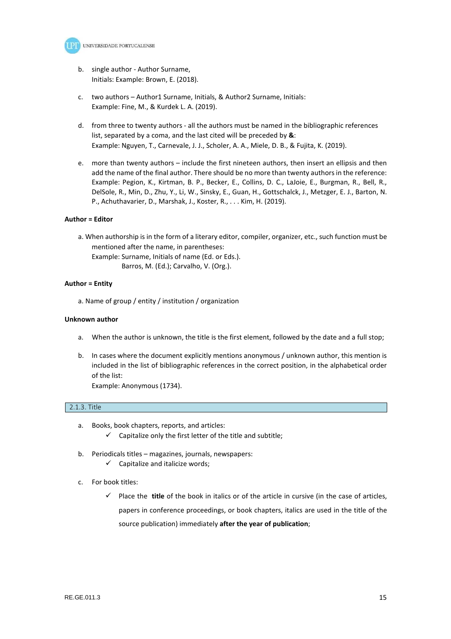

- b. single author Author Surname, Initials: Example: Brown, E. (2018).
- c. two authors Author1 Surname, Initials, & Author2 Surname, Initials: Example: Fine, M., & Kurdek L. A. (2019).
- d. from three to twenty authors all the authors must be named in the bibliographic references list, separated by a coma, and the last cited will be preceded by **&**: Example: Nguyen, T., Carnevale, J. J., Scholer, A. A., Miele, D. B., & Fujita, K. (2019).
- e. more than twenty authors include the first nineteen authors, then insert an ellipsis and then add the name of the final author. There should be no more than twenty authors in the reference: Example: Pegion, K., Kirtman, B. P., Becker, E., Collins, D. C., LaJoie, E., Burgman, R., Bell, R., DelSole, R., Min, D., Zhu, Y., Li, W., Sinsky, E., Guan, H., Gottschalck, J., Metzger, E. J., Barton, N. P., Achuthavarier, D., Marshak, J., Koster, R., . . . Kim, H. (2019).

#### **Author = Editor**

a. When authorship is in the form of a literary editor, compiler, organizer, etc., such function must be mentioned after the name, in parentheses:

Example: Surname, Initials of name (Ed. or Eds.). Barros, M. (Ed.); Carvalho, V. (Org.).

#### **Author = Entity**

a. Name of group / entity / institution / organization

#### **Unknown author**

- a. When the author is unknown, the title is the first element, followed by the date and a full stop;
- b. In cases where the document explicitly mentions anonymous / unknown author, this mention is included in the list of bibliographic references in the correct position, in the alphabetical order of the list:

Example: Anonymous (1734).

#### 2.1.3. Title

- a. Books, book chapters, reports, and articles:  $\checkmark$  Capitalize only the first letter of the title and subtitle;
- b. Periodicals titles magazines, journals, newspapers:
	- $\checkmark$  Capitalize and italicize words;
- c. For book titles:
	- $\checkmark$  Place the **title** of the book in italics or of the article in cursive (in the case of articles, papers in conference proceedings, or book chapters, italics are used in the title of the source publication) immediately **after the year of publication**;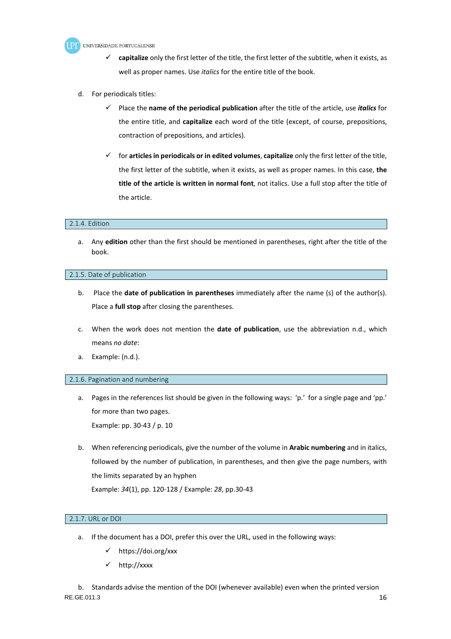

- **capitalize** only the first letter of the title, the first letter of the subtitle, when it exists, as well as proper names. Use *italics* for the entire title of the book.
- d. For periodicals titles:
	- Place the **name of the periodical publication** after the title of the article, use *italics* for the entire title, and **capitalize** each word of the title (except, of course, prepositions, contraction of prepositions, and articles).
	- for **articles in periodicals or in edited volumes**, **capitalize** only the first letter of the title, the first letter of the subtitle, when it exists, as well as proper names. In this case, **the title of the article is written in normal font**, not italics. Use a full stop after the title of the article.

### 2.1.4. Edition

a. Any **edition** other than the first should be mentioned in parentheses, right after the title of the book.

#### 2.1.5. Date of publication

- b. Place the **date of publication in parentheses** immediately after the name (s) of the author(s). Place a **full stop** after closing the parentheses.
- c. When the work does not mention the **date of publication**, use the abbreviation n.d., which means *no date*:
- a. Example: (n.d.).

### 2.1.6. Pagination and numbering

- a. Pages in the references list should be given in the following ways: 'p.' for a single page and 'pp.' for more than two pages. Example: pp. 30-43 / p. 10
- b. When referencing periodicals, give the number of the volume in **Arabic numbering** and in italics, followed by the number of publication, in parentheses, and then give the page numbers, with the limits separated by an hyphen

Example: *34*(1), pp. 120-128 / Example: *28*, pp.30-43

# 2.1.7. URL or DOI

- a. If the document has a DOI, prefer this over the URL, used in the following ways:
	- https://doi.org/xxx
	- http://xxxx

 $RE.GE.011.3$  16 b. Standards advise the mention of the DOI (whenever available) even when the printed version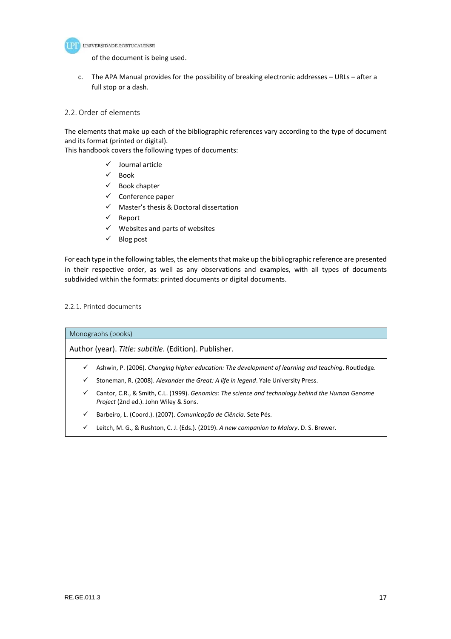

of the document is being used.

c. The APA Manual provides for the possibility of breaking electronic addresses – URLs – after a full stop or a dash.

# 2.2. Order of elements

The elements that make up each of the bibliographic references vary according to the type of document and its format (printed or digital).

This handbook covers the following types of documents:

- $\checkmark$  Journal article
- $\checkmark$  Book
- $\checkmark$  Book chapter
- $\checkmark$  Conference paper
- $\checkmark$  Master's thesis & Doctoral dissertation
- $\checkmark$  Report
- $\checkmark$  Websites and parts of websites
- $\checkmark$  Blog post

For each type in the following tables, the elements that make up the bibliographic reference are presented in their respective order, as well as any observations and examples, with all types of documents subdivided within the formats: printed documents or digital documents.

#### 2.2.1. Printed documents

Monographs (books)

Author (year). *Title: subtitle*. (Edition). Publisher.

- Ashwin, P. (2006). *Changing higher education: The development of learning and teaching*. Routledge.
- Stoneman, R. (2008). *Alexander the Great: A life in legend*. Yale University Press.
- Cantor, C.R., & Smith, C.L. (1999). *Genomics: The science and technology behind the Human Genome Project* (2nd ed.). John Wiley & Sons.
- Barbeiro, L. (Coord.). (2007). *Comunicação de Ciência*. Sete Pés.
- Leitch, M. G., & Rushton, C. J. (Eds.). (2019). *A new companion to Malory*. D. S. Brewer.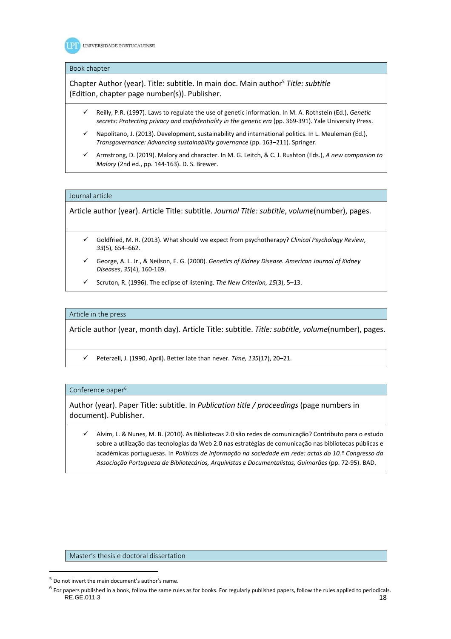

#### Book chapter

Chapter Author (year). Title: subtitle. In main doc. Main author<sup>5</sup> *Title: subtitle* (Edition, chapter page number(s)). Publisher.

- Reilly, P.R. (1997). Laws to regulate the use of genetic information. In M. A. Rothstein (Ed.), *Genetic*  secrets: Protecting privacy and confidentiality in the genetic era (pp. 369-391). Yale University Press.
- Napolitano, J. (2013). Development, sustainability and international politics. In L. Meuleman (Ed.), *Transgovernance: Advancing sustainability governance* (pp. 163–211). Springer.
- Armstrong, D. (2019). Malory and character. In M. G. Leitch, & C. J. Rushton (Eds.), *A new companion to Malory* (2nd ed., pp. 144-163). D. S. Brewer.

#### Journal article

Article author (year). Article Title: subtitle. *Journal Title: subtitle*, *volume*(number), pages.

- Goldfried, M. R. (2013). What should we expect from psychotherapy? *Clinical Psychology Review*, *33*(5), 654–662.
- George, A. L. Jr., & Neilson, E. G. (2000). *Genetics of Kidney Disease. American Journal of Kidney Diseases*, *35*(4), 160-169.
- Scruton, R. (1996). The eclipse of listening. *The New Criterion, 15*(3), 5–13.

#### Article in the press

Article author (year, month day). Article Title: subtitle. *Title: subtitle*, *volume*(number), pages.

Peterzell, J. (1990, April). Better late than never. *Time, 135*(17), 20–21.

#### Conference paper<sup>6</sup>

Author (year). Paper Title: subtitle. In *Publication title / proceedings* (page numbers in document). Publisher.

 Alvim, L. & Nunes, M. B. (2010). As Bibliotecas 2.0 são redes de comunicação? Contributo para o estudo sobre a utilização das tecnologias da Web 2.0 nas estratégias de comunicação nas bibliotecas públicas e académicas portuguesas. In *Políticas de Informação na sociedade em rede: actas do 10.º Congresso da Associação Portuguesa de Bibliotecários, Arquivistas e Documentalistas, Guimarães* (pp. 72-95). BAD.

Master's thesis e doctoral dissertation

<sup>5</sup> Do not invert the main document's author's name.

 $RE.GE.011.3$  18 <sup>6</sup> For papers published in a book, follow the same rules as for books. For regularly published papers, follow the rules applied to periodicals.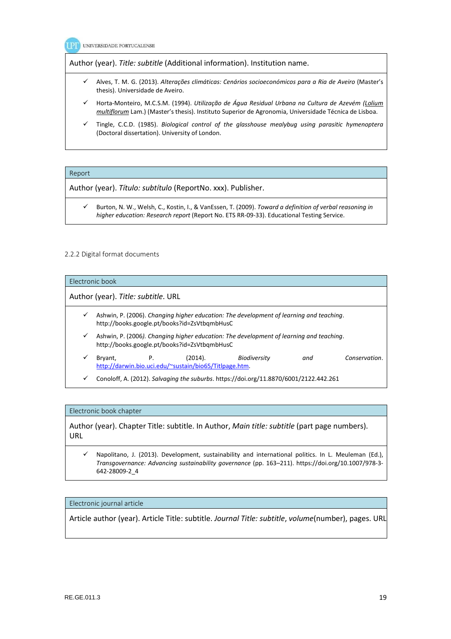

Author (year). *Title: subtitle* (Additional information). Institution name.

- Alves, T. M. G. (2013). *Alterações climáticas: Cenários socioeconómicos para a Ria de Aveiro* (Master's thesis). Universidade de Aveiro.
- Horta-Monteiro, M.C.S.M. (1994). *Utilização de Água Residual Urbana na Cultura de Azevém (Lolium multiflorum* Lam.) (Master's thesis). Instituto Superior de Agronomia, Universidade Técnica de Lisboa.
- Tingle, C.C.D. (1985). *Biological control of the glasshouse mealybug using parasitic hymenoptera*  (Doctoral dissertation). University of London.

#### Report

Author (year). *Título: subtítulo* (ReportNo. xxx). Publisher.

 Burton, N. W., Welsh, C., Kostin, I., & VanEssen, T. (2009). *Toward a definition of verbal reasoning in higher education: Research report* (Report No. ETS RR-09-33). Educational Testing Service.

#### 2.2.2 Digital format documents

# Electronic book Author (year). *Title: subtitle*. URL Ashwin, P. (2006). *Changing higher education: The development of learning and teaching*. http://books.google.pt/books?id=ZsVtbqmbHusC Ashwin, P. (2006*). Changing higher education: The development of learning and teaching*. http://books.google.pt/books?id=ZsVtbqmbHusC Bryant, P. (2014). *Biodiversity and Conservation*. http://darwin.bio.uci.edu/~sustain/bio65/Titlpage.htm. Conoloff, A. (2012). *Salvaging the suburbs*. https://doi.org/11.8870/6001/2122.442.261

#### Electronic book chapter

Author (year). Chapter Title: subtitle. In Author, *Main title: subtitle* (part page numbers). URL

 Napolitano, J. (2013). Development, sustainability and international politics. In L. Meuleman (Ed.), *Transgovernance: Advancing sustainability governance* (pp. 163–211). https://doi.org/10.1007/978-3- 642-28009-2\_4

#### Electronic journal article

Article author (year). Article Title: subtitle. *Journal Title: subtitle*, *volume*(number), pages. URL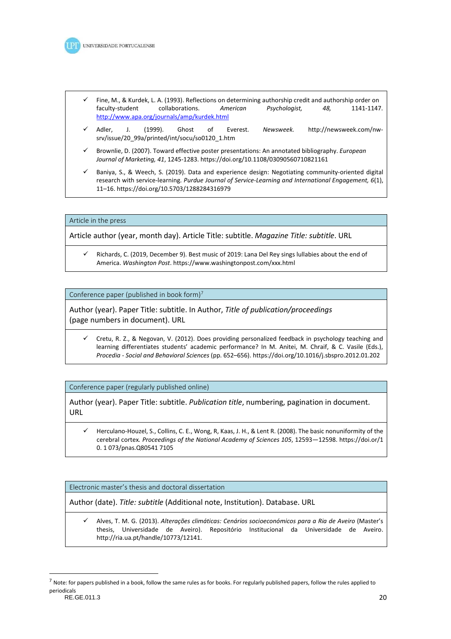

- Fine, M., & Kurdek, L. A. (1993). Reflections on determining authorship credit and authorship order on faculty-student collaborations. *American Psychologist, 48,* 1141-1147. http://www.apa.org/journals/amp/kurdek.html
- Adler, J. (1999). Ghost of Everest. *Newsweek.* http://newsweek.com/nwsrv/issue/20\_99a/printed/int/socu/so0120\_1.htm
- Brownlie, D. (2007). Toward effective poster presentations: An annotated bibliography. *European Journal of Marketing, 41*, 1245-1283. https://doi.org/10.1108/03090560710821161
- Baniya, S., & Weech, S. (2019). Data and experience design: Negotiating community-oriented digital research with service-learning. *Purdue Journal of Service-Learning and International Engagement, 6*(1), 11–16. https://doi.org/10.5703/1288284316979

#### Article in the press

Article author (year, month day). Article Title: subtitle. *Magazine Title: subtitle*. URL

 Richards, C. (2019, December 9). Best music of 2019: Lana Del Rey sings lullabies about the end of America. *Washington Post*. https://www.washingtonpost.com/xxx.html

Conference paper (published in book form)<sup>7</sup>

Author (year). Paper Title: subtitle. In Author, *Title of publication/proceedings*  (page numbers in document). URL

 Cretu, R. Z., & Negovan, V. (2012). Does providing personalized feedback in psychology teaching and learning differentiates students' academic performance? In M. Anitei, M. Chraif, & C. Vasile (Eds.), *Procedia - Social and Behavioral Sciences* (pp. 652–656). https://doi.org/10.1016/j.sbspro.2012.01.202

Conference paper (regularly published online)

Author (year). Paper Title: subtitle. *Publication title*, numbering, pagination in document. URL

 Herculano-Houzel, S., Collins, C. E., Wong, R, Kaas, J. H., & Lent R. (2008). The basic nonuniformity of the cerebral cortex*. Proceedings of the National Academy of Sciences 105*, 12593—12598. https://doi.or/1 0. 1 073/pnas.Q80541 7105

Electronic master's thesis and doctoral dissertation

Author (date). *Title: subtitle* (Additional note, Institution). Database. URL

 Alves, T. M. G. (2013). *Alterações climáticas: Cenários socioeconómicos para a Ria de Aveiro* (Master's thesis, Universidade de Aveiro). Repositório Institucional da Universidade de Aveiro. http://ria.ua.pt/handle/10773/12141.

 $\overline{a}$ 

RE.GE.011.3 20  $^7$  Note: for papers published in a book, follow the same rules as for books. For regularly published papers, follow the rules applied to periodicals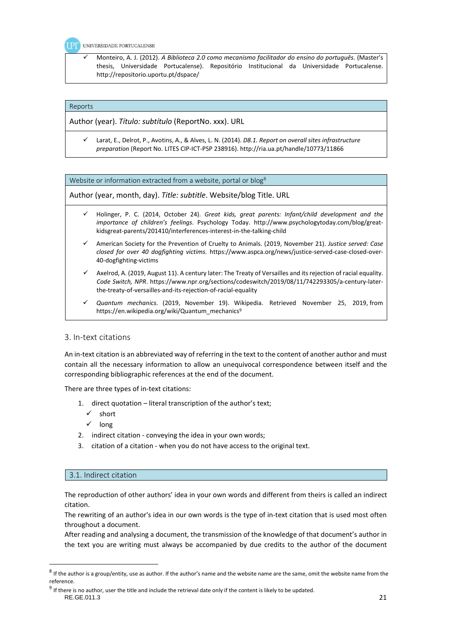UNIVERSIDADE PORTUCALENSE

 Monteiro, A. J. (2012). *A Biblioteca 2.0 como mecanismo facilitador do ensino do português*. (Master's thesis, Universidade Portucalense). Repositório Institucional da Universidade Portucalense. http://repositorio.uportu.pt/dspace/

#### Reports

Author (year). *Título: subtítulo* (ReportNo. xxx). URL

 Larat, E., Delrot, P., Avotins, A., & Alves, L. N. (2014). *D8.1. Report on overall sites infrastructure preparation* (Report No. LITES CIP-ICT-PSP 238916). http://ria.ua.pt/handle/10773/11866

Website or information extracted from a website, portal or blog<sup>8</sup>

Author (year, month, day). *Title: subtitle*. Website/blog Title. URL

- Holinger, P. C. (2014, October 24). *Great kids, great parents: Infant/child development and the importance of children's feelings*. Psychology Today. http://www.psychologytoday.com/blog/greatkidsgreat-parents/201410/interferences-interest-in-the-talking-child
- American Society for the Prevention of Cruelty to Animals. (2019, November 21). *Justice served: Case closed for over 40 dogfighting victims*. https://www.aspca.org/news/justice-served-case-closed-over-40-dogfighting-victims
- Axelrod, A. (2019, August 11). A century later: The Treaty of Versailles and its rejection of racial equality. *Code Switch, NPR*. https://www.npr.org/sections/codeswitch/2019/08/11/742293305/a-century-laterthe-treaty-of-versailles-and-its-rejection-of-racial-equality
- *Quantum mechanics*. (2019, November 19). Wikipedia. Retrieved November 25, 2019, from https://en.wikipedia.org/wiki/Quantum\_mechanics<sup>9</sup>

### 3. In-text citations

An in-text citation is an abbreviated way of referring in the text to the content of another author and must contain all the necessary information to allow an unequivocal correspondence between itself and the corresponding bibliographic references at the end of the document.

There are three types of in-text citations:

- 1. direct quotation literal transcription of the author's text;
	- $\checkmark$  short
- $\checkmark$  long
- 2. indirect citation conveying the idea in your own words;
- 3. citation of a citation when you do not have access to the original text.

### 3.1. Indirect citation

The reproduction of other authors' idea in your own words and different from theirs is called an indirect citation.

The rewriting of an author's idea in our own words is the type of in-text citation that is used most often throughout a document.

After reading and analysing a document, the transmission of the knowledge of that document's author in the text you are writing must always be accompanied by due credits to the author of the document

 $^8$  If the author is a group/entity, use as author. If the author's name and the website name are the same, omit the website name from the reference.

RE.GE.011.3 21  $9$  If there is no author, user the title and include the retrieval date only if the content is likely to be updated.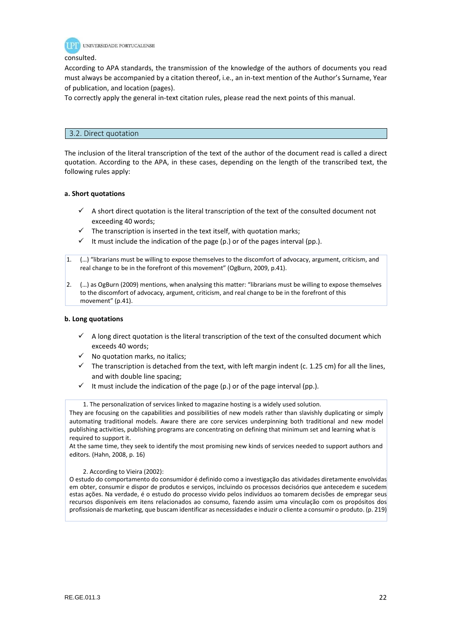

#### consulted.

According to APA standards, the transmission of the knowledge of the authors of documents you read must always be accompanied by a citation thereof, i.e., an in-text mention of the Author's Surname, Year of publication, and location (pages).

To correctly apply the general in-text citation rules, please read the next points of this manual.

# 3.2. Direct quotation

The inclusion of the literal transcription of the text of the author of the document read is called a direct quotation. According to the APA, in these cases, depending on the length of the transcribed text, the following rules apply:

### **a. Short quotations**

- $\checkmark$  A short direct quotation is the literal transcription of the text of the consulted document not exceeding 40 words;
- $\checkmark$  The transcription is inserted in the text itself, with quotation marks;
- It must include the indication of the page  $(p.)$  or of the pages interval (pp.).
- 1. (…) "librarians must be willing to expose themselves to the discomfort of advocacy, argument, criticism, and real change to be in the forefront of this movement" (OgBurn, 2009, p.41).
- 2. (…) as OgBurn (2009) mentions, when analysing this matter: "librarians must be willing to expose themselves to the discomfort of advocacy, argument, criticism, and real change to be in the forefront of this movement" (p.41).

### **b. Long quotations**

- $\checkmark$  A long direct quotation is the literal transcription of the text of the consulted document which exceeds 40 words;
- $\checkmark$  No quotation marks, no italics;
- $\checkmark$  The transcription is detached from the text, with left margin indent (c. 1.25 cm) for all the lines, and with double line spacing;
- It must include the indication of the page (p.) or of the page interval (pp.).

1. The personalization of services linked to magazine hosting is a widely used solution.

At the same time, they seek to identify the most promising new kinds of services needed to support authors and editors. (Hahn, 2008, p. 16)

### 2. According to Vieira (2002):

O estudo do comportamento do consumidor é definido como a investigação das atividades diretamente envolvidas em obter, consumir e dispor de produtos e serviços, incluindo os processos decisórios que antecedem e sucedem estas ações. Na verdade, é o estudo do processo vivido pelos indivíduos ao tomarem decisões de empregar seus recursos disponíveis em itens relacionados ao consumo, fazendo assim uma vinculação com os propósitos dos profissionais de marketing, que buscam identificar as necessidades e induzir o cliente a consumir o produto. (p. 219)

They are focusing on the capabilities and possibilities of new models rather than slavishly duplicating or simply automating traditional models. Aware there are core services underpinning both traditional and new model publishing activities, publishing programs are concentrating on defining that minimum set and learning what is required to support it.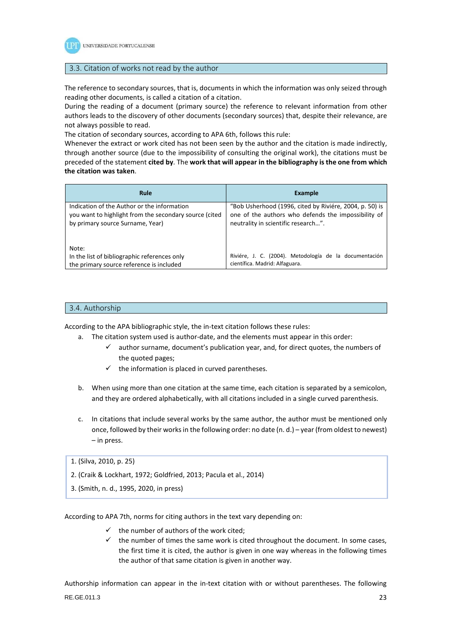

## 3.3. Citation of works not read by the author

The reference to secondary sources, that is, documents in which the information was only seized through reading other documents, is called a citation of a citation.

During the reading of a document (primary source) the reference to relevant information from other authors leads to the discovery of other documents (secondary sources) that, despite their relevance, are not always possible to read.

The citation of secondary sources, according to APA 6th, follows this rule:

Whenever the extract or work cited has not been seen by the author and the citation is made indirectly, through another source (due to the impossibility of consulting the original work), the citations must be preceded of the statement **cited by**. The **work that will appear in the bibliography is the one from which the citation was taken**.

| Rule                                                                                                                                      | Example                                                                                                                                               |
|-------------------------------------------------------------------------------------------------------------------------------------------|-------------------------------------------------------------------------------------------------------------------------------------------------------|
| Indication of the Author or the information<br>you want to highlight from the secondary source (cited<br>by primary source Surname, Year) | "Bob Usherhood (1996, cited by Riviére, 2004, p. 50) is<br>one of the authors who defends the impossibility of<br>neutrality in scientific research". |
| Note:<br>In the list of bibliographic references only<br>the primary source reference is included                                         | Riviére, J. C. (2004). Metodología de la documentación<br>científica. Madrid: Alfaguara.                                                              |

### 3.4. Authorship

According to the APA bibliographic style, the in-text citation follows these rules:

- a. The citation system used is author-date, and the elements must appear in this order:
	- author surname, document's publication year, and, for direct quotes, the numbers of the quoted pages;
	- $\checkmark$  the information is placed in curved parentheses.
- b. When using more than one citation at the same time, each citation is separated by a semicolon, and they are ordered alphabetically, with all citations included in a single curved parenthesis.
- c. In citations that include several works by the same author, the author must be mentioned only once, followed by their works in the following order: no date (n. d.) – year (from oldest to newest) – in press.

1. (Silva, 2010, p. 25)

- 2. (Craik & Lockhart, 1972; Goldfried, 2013; Pacula et al., 2014)
- 3. (Smith, n. d., 1995, 2020, in press)

According to APA 7th, norms for citing authors in the text vary depending on:

- the number of authors of the work cited;
- $\checkmark$  the number of times the same work is cited throughout the document. In some cases, the first time it is cited, the author is given in one way whereas in the following times the author of that same citation is given in another way.

RE.GE.011.3 23 Authorship information can appear in the in-text citation with or without parentheses. The following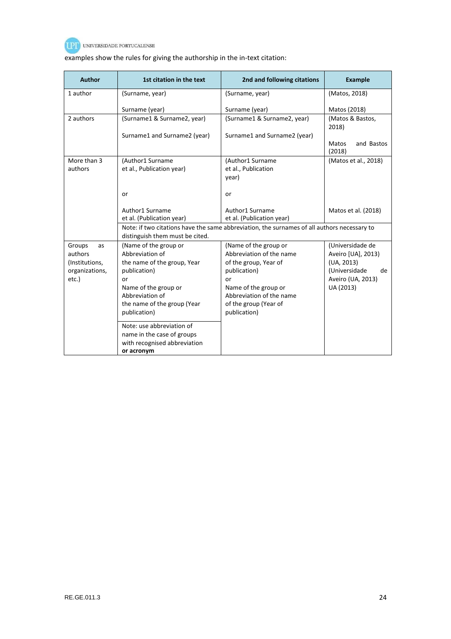

# examples show the rules for giving the authorship in the in-text citation:

| <b>Author</b>           | 1st citation in the text        | 2nd and following citations                                                                 | <b>Example</b>                           |
|-------------------------|---------------------------------|---------------------------------------------------------------------------------------------|------------------------------------------|
| 1 author                | (Surname, year)                 | (Surname, year)                                                                             | (Matos, 2018)                            |
|                         | Surname (year)                  | Surname (year)                                                                              | Matos (2018)                             |
| 2 authors               | (Surname1 & Surname2, year)     | (Surname1 & Surname2, year)                                                                 | (Matos & Bastos,<br>2018)                |
|                         | Surname1 and Surname2 (year)    | Surname1 and Surname2 (year)                                                                |                                          |
|                         |                                 |                                                                                             | and Bastos<br>Matos<br>(2018)            |
| More than 3             | (Author1 Surname                | (Author1 Surname                                                                            | (Matos et al., 2018)                     |
| authors                 | et al., Publication year)       | et al., Publication                                                                         |                                          |
|                         |                                 | year)                                                                                       |                                          |
|                         | or                              | or                                                                                          |                                          |
|                         | Author1 Surname                 | Author1 Surname                                                                             | Matos et al. (2018)                      |
|                         | et al. (Publication year)       | et al. (Publication year)                                                                   |                                          |
|                         | distinguish them must be cited. | Note: if two citations have the same abbreviation, the surnames of all authors necessary to |                                          |
| Groups<br>as            | (Name of the group or           | (Name of the group or                                                                       | (Universidade de                         |
| authors                 | Abbreviation of                 | Abbreviation of the name                                                                    | Aveiro [UA], 2013)                       |
| (Institutions,          | the name of the group, Year     | of the group, Year of                                                                       | (UA, 2013)                               |
| organizations,<br>etc.) | publication)<br>or              | publication)<br>or                                                                          | (Universidade<br>de<br>Aveiro (UA, 2013) |
|                         | Name of the group or            | Name of the group or                                                                        | UA (2013)                                |
|                         | Abbreviation of                 | Abbreviation of the name                                                                    |                                          |
|                         | the name of the group (Year     | of the group (Year of                                                                       |                                          |
|                         | publication)                    | publication)                                                                                |                                          |
|                         | Note: use abbreviation of       |                                                                                             |                                          |
|                         | name in the case of groups      |                                                                                             |                                          |
|                         | with recognised abbreviation    |                                                                                             |                                          |
|                         | or acronym                      |                                                                                             |                                          |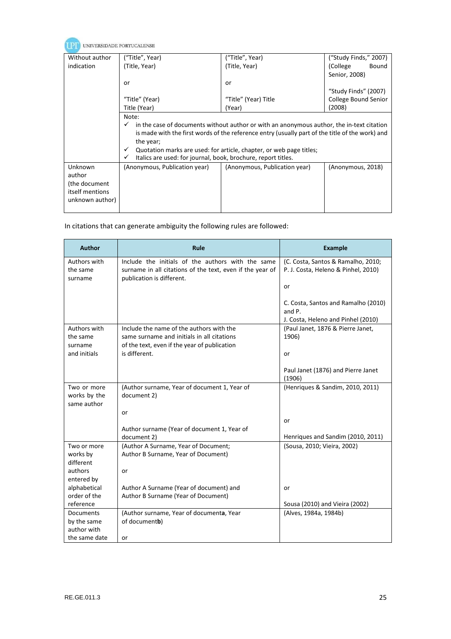| UNIVERSIDADE PORTUCALENSE |                                                                                                |                                                                                                 |                       |  |
|---------------------------|------------------------------------------------------------------------------------------------|-------------------------------------------------------------------------------------------------|-----------------------|--|
| Without author            | ("Title", Year)                                                                                | ("Title", Year)                                                                                 | ("Study Finds," 2007) |  |
| indication                | (Title, Year)                                                                                  | (Title, Year)                                                                                   | (College<br>Bound     |  |
|                           |                                                                                                |                                                                                                 | Senior, 2008)         |  |
|                           | or                                                                                             | or                                                                                              |                       |  |
|                           |                                                                                                |                                                                                                 | "Study Finds" (2007)  |  |
|                           | "Title" (Year)                                                                                 | "Title" (Year) Title                                                                            | College Bound Senior  |  |
|                           | Title (Year)                                                                                   | (Year)                                                                                          | (2008)                |  |
| Note:                     |                                                                                                |                                                                                                 |                       |  |
|                           | in the case of documents without author or with an anonymous author, the in-text citation<br>✓ |                                                                                                 |                       |  |
|                           |                                                                                                | is made with the first words of the reference entry (usually part of the title of the work) and |                       |  |
|                           | the year;                                                                                      |                                                                                                 |                       |  |
|                           | $\checkmark$<br>Italics are used: for journal, book, brochure, report titles.<br>✓             | Quotation marks are used: for article, chapter, or web page titles;                             |                       |  |
| Unknown                   | (Anonymous, Publication year)                                                                  | (Anonymous, Publication year)                                                                   | (Anonymous, 2018)     |  |
| author                    |                                                                                                |                                                                                                 |                       |  |
| (the document             |                                                                                                |                                                                                                 |                       |  |
| itself mentions           |                                                                                                |                                                                                                 |                       |  |
| unknown author)           |                                                                                                |                                                                                                 |                       |  |
|                           |                                                                                                |                                                                                                 |                       |  |

# In citations that can generate ambiguity the following rules are followed:

| <b>Author</b>                | Rule                                                                                                           | <b>Example</b>                                                            |
|------------------------------|----------------------------------------------------------------------------------------------------------------|---------------------------------------------------------------------------|
| Authors with<br>the same     | Include the initials of the authors with the same<br>surname in all citations of the text, even if the year of | (C. Costa, Santos & Ramalho, 2010;<br>P. J. Costa, Heleno & Pinhel, 2010) |
| surname                      | publication is different.                                                                                      | or                                                                        |
|                              |                                                                                                                | C. Costa, Santos and Ramalho (2010)                                       |
|                              |                                                                                                                | and P.                                                                    |
|                              |                                                                                                                | J. Costa, Heleno and Pinhel (2010)                                        |
| Authors with                 | Include the name of the authors with the                                                                       | (Paul Janet, 1876 & Pierre Janet,                                         |
| the same<br>surname          | same surname and initials in all citations<br>of the text, even if the year of publication                     | 1906)                                                                     |
| and initials                 | is different.                                                                                                  | or                                                                        |
|                              |                                                                                                                |                                                                           |
|                              |                                                                                                                | Paul Janet (1876) and Pierre Janet                                        |
|                              |                                                                                                                | (1906)                                                                    |
| Two or more                  | (Author surname, Year of document 1, Year of                                                                   | (Henriques & Sandim, 2010, 2011)                                          |
| works by the                 | document 2)                                                                                                    |                                                                           |
| same author                  |                                                                                                                |                                                                           |
|                              | or                                                                                                             | or                                                                        |
|                              | Author surname (Year of document 1, Year of                                                                    |                                                                           |
|                              | document 2)                                                                                                    | Henriques and Sandim (2010, 2011)                                         |
| Two or more                  | (Author A Surname, Year of Document;                                                                           | (Sousa, 2010; Vieira, 2002)                                               |
| works by                     | Author B Surname, Year of Document)                                                                            |                                                                           |
| different                    |                                                                                                                |                                                                           |
| authors                      | or                                                                                                             |                                                                           |
| entered by                   |                                                                                                                |                                                                           |
| alphabetical<br>order of the | Author A Surname (Year of document) and<br>Author B Surname (Year of Document)                                 | or                                                                        |
| reference                    |                                                                                                                | Sousa (2010) and Vieira (2002)                                            |
| <b>Documents</b>             | (Author surname, Year of documenta, Year                                                                       | (Alves, 1984a, 1984b)                                                     |
| by the same                  | of documentb)                                                                                                  |                                                                           |
| author with                  |                                                                                                                |                                                                           |
| the same date                | or                                                                                                             |                                                                           |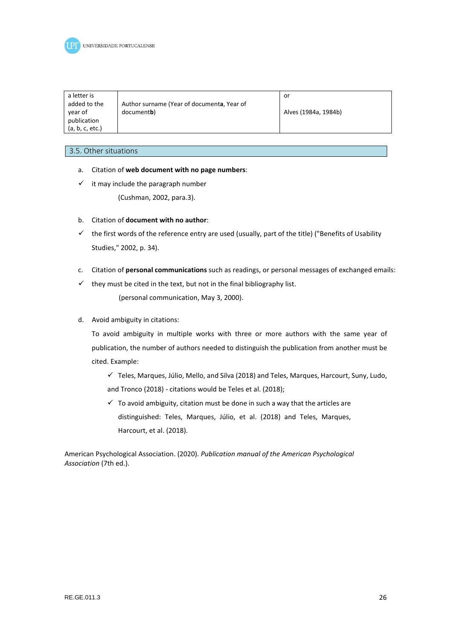

| a letter is<br>added to the    | Author surname (Year of documenta, Year of | or                   |
|--------------------------------|--------------------------------------------|----------------------|
| year of                        | document <b>b</b> )                        | Alves (1984a, 1984b) |
| publication<br>(a, b, c, etc.) |                                            |                      |

#### 3.5. Other situations

- a. Citation of **web document with no page numbers**:
- $\checkmark$  it may include the paragraph number

(Cushman, 2002, para.3).

- b. Citation of **document with no author**:
- $\checkmark$  the first words of the reference entry are used (usually, part of the title) ("Benefits of Usability Studies," 2002, p. 34).
- c. Citation of **personal communications** such as readings, or personal messages of exchanged emails:
- $\checkmark$  they must be cited in the text, but not in the final bibliography list.

(personal communication, May 3, 2000).

d. Avoid ambiguity in citations:

To avoid ambiguity in multiple works with three or more authors with the same year of publication, the number of authors needed to distinguish the publication from another must be cited. Example:

- $\checkmark$  Teles, Marques, Júlio, Mello, and Silva (2018) and Teles, Marques, Harcourt, Suny, Ludo, and Tronco (2018) - citations would be Teles et al. (2018);
- $\checkmark$  To avoid ambiguity, citation must be done in such a way that the articles are distinguished: Teles, Marques, Júlio, et al. (2018) and Teles, Marques, Harcourt, et al. (2018).

American Psychological Association. (2020). *Publication manual of the American Psychological Association* (7th ed.).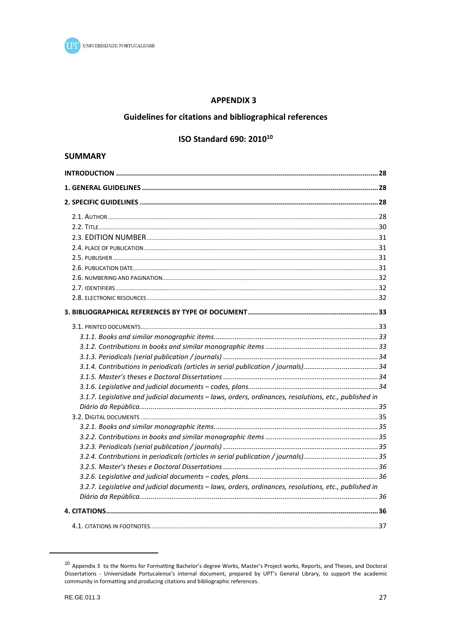

# **APPENDIX 3**

# Guidelines for citations and bibliographical references

# ISO Standard 690: 2010<sup>10</sup>

# **SUMMARY**

| 3.1.7. Legislative and judicial documents - laws, orders, ordinances, resolutions, etc., published in |  |
|-------------------------------------------------------------------------------------------------------|--|
|                                                                                                       |  |
|                                                                                                       |  |
|                                                                                                       |  |
|                                                                                                       |  |
|                                                                                                       |  |
|                                                                                                       |  |
|                                                                                                       |  |
|                                                                                                       |  |
| 3.2.7. Legislative and judicial documents - laws, orders, ordinances, resolutions, etc., published in |  |
|                                                                                                       |  |
|                                                                                                       |  |
|                                                                                                       |  |

<sup>&</sup>lt;sup>10</sup> Appendix 3 to the Norms for Formatting Bachelor's degree Works, Master's Project works, Reports, and Theses, and Doctoral Dissertations - Universidade Portucalense's internal document, prepared by UPT's General Library, to support the academic community in formatting and producing citations and bibliographic references.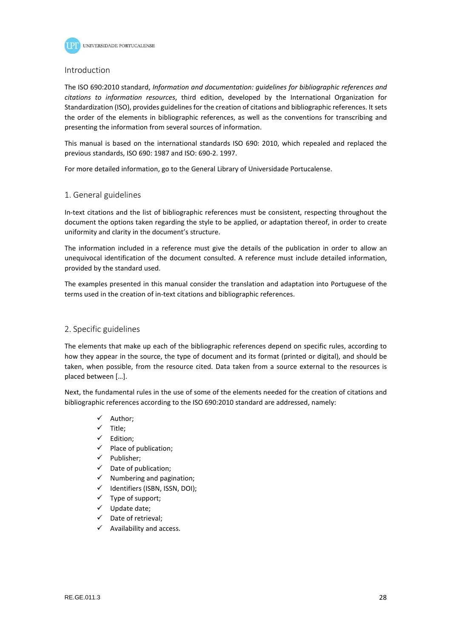

#### Introduction

The ISO 690:2010 standard, *Information and documentation: guidelines for bibliographic references and citations to information resources*, third edition, developed by the International Organization for Standardization (ISO), provides guidelines for the creation of citations and bibliographic references. It sets the order of the elements in bibliographic references, as well as the conventions for transcribing and presenting the information from several sources of information.

This manual is based on the international standards ISO 690: 2010, which repealed and replaced the previous standards, ISO 690: 1987 and ISO: 690-2. 1997.

For more detailed information, go to the General Library of Universidade Portucalense.

### 1. General guidelines

In-text citations and the list of bibliographic references must be consistent, respecting throughout the document the options taken regarding the style to be applied, or adaptation thereof, in order to create uniformity and clarity in the document's structure.

The information included in a reference must give the details of the publication in order to allow an unequivocal identification of the document consulted. A reference must include detailed information, provided by the standard used.

The examples presented in this manual consider the translation and adaptation into Portuguese of the terms used in the creation of in-text citations and bibliographic references.

### 2. Specific guidelines

The elements that make up each of the bibliographic references depend on specific rules, according to how they appear in the source, the type of document and its format (printed or digital), and should be taken, when possible, from the resource cited. Data taken from a source external to the resources is placed between […].

Next, the fundamental rules in the use of some of the elements needed for the creation of citations and bibliographic references according to the ISO 690:2010 standard are addressed, namely:

- $\checkmark$  Author;
- $\checkmark$  Title:
- $\checkmark$  Edition;
- $\checkmark$  Place of publication;
- $\checkmark$  Publisher;
- $\checkmark$  Date of publication;
- $\checkmark$  Numbering and pagination;
- $\checkmark$  Identifiers (ISBN, ISSN, DOI);
- $\checkmark$  Type of support;
- $\checkmark$  Update date;
- $\checkmark$  Date of retrieval;
- $\checkmark$  Availability and access.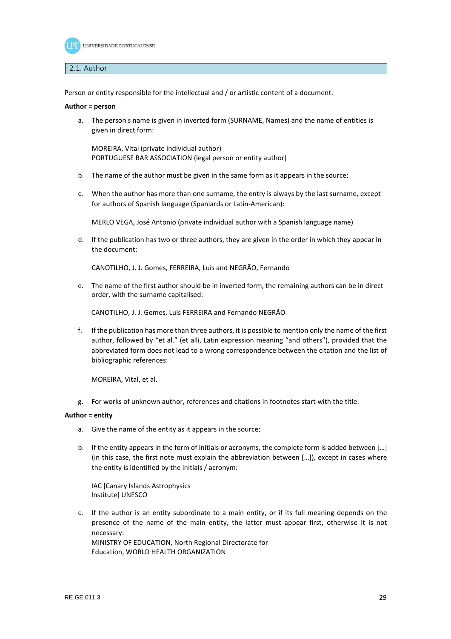

#### 2.1. Author

Person or entity responsible for the intellectual and / or artistic content of a document.

#### **Author = person**

a. The person's name is given in inverted form (SURNAME, Names) and the name of entities is given in direct form:

MOREIRA, Vital (private individual author) PORTUGUESE BAR ASSOCIATION (legal person or entity author)

- b. The name of the author must be given in the same form as it appears in the source;
- c. When the author has more than one surname, the entry is always by the last surname, except for authors of Spanish language (Spaniards or Latin-American):

MERLO VEGA, José Antonio (private individual author with a Spanish language name)

d. If the publication has two or three authors, they are given in the order in which they appear in the document:

CANOTILHO, J. J. Gomes, FERREIRA, Luís and NEGRÃO, Fernando

e. The name of the first author should be in inverted form, the remaining authors can be in direct order, with the surname capitalised:

CANOTILHO, J. J. Gomes, Luís FERREIRA and Fernando NEGRÃO

f. If the publication has more than three authors, it is possible to mention only the name of the first author, followed by "et al." (et alli, Latin expression meaning "and others"), provided that the abbreviated form does not lead to a wrong correspondence between the citation and the list of bibliographic references:

MOREIRA, Vital, et al.

g. For works of unknown author, references and citations in footnotes start with the title.

#### **Author = entity**

- a. Give the name of the entity as it appears in the source;
- b. If the entity appears in the form of initials or acronyms, the complete form is added between [...] (in this case, the first note must explain the abbreviation between […]), except in cases where the entity is identified by the initials / acronym:

IAC [Canary Islands Astrophysics Institute] UNESCO

c. If the author is an entity subordinate to a main entity, or if its full meaning depends on the presence of the name of the main entity, the latter must appear first, otherwise it is not necessary: MINISTRY OF EDUCATION, North Regional Directorate for

Education, WORLD HEALTH ORGANIZATION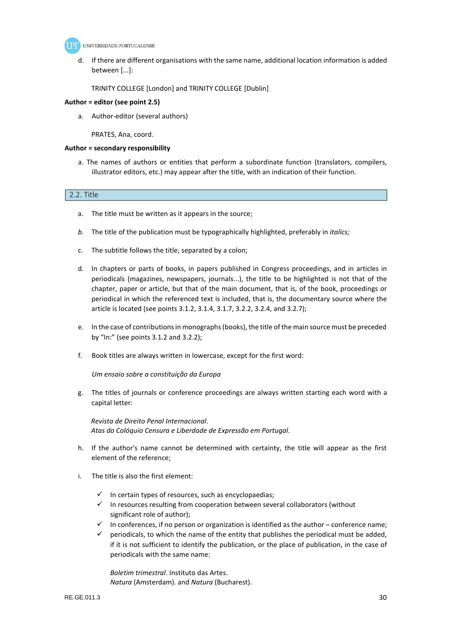

d. If there are different organisations with the same name, additional location information is added between [...]:

TRINITY COLLEGE [London] and TRINITY COLLEGE [Dublin]

#### **Author = editor (see point 2.5)**

a. Author-editor (several authors)

PRATES, Ana, coord.

#### **Author = secondary responsibility**

a. The names of authors or entities that perform a subordinate function (translators, compilers, illustrator editors, etc.) may appear after the title, with an indication of their function.

# 2.2. Title

- a. The title must be written as it appears in the source;
- *b.* The title of the publication must be typographically highlighted, preferably in *italics;*
- c. The subtitle follows the title, separated by a colon;
- d. In chapters or parts of books, in papers published in Congress proceedings, and in articles in periodicals (magazines, newspapers, journals...), the title to be highlighted is not that of the chapter, paper or article, but that of the main document, that is, of the book, proceedings or periodical in which the referenced text is included, that is, the documentary source where the article is located (see points 3.1.2, 3.1.4, 3.1.7, 3.2.2, 3.2.4, and 3.2.7);
- e. In the case of contributions in monographs (books), the title of the main source must be preceded by "In:" (see points 3.1.2 and 3.2.2);
- f. Book titles are always written in lowercase, except for the first word:

*Um ensaio sobre a constituição da Europa* 

g. The titles of journals or conference proceedings are always written starting each word with a capital letter:

*Revista de Direito Penal Internacional*. *Atas do Colóquio Censura e Liberdade de Expressão em Portugal*.

- h. If the author's name cannot be determined with certainty, the title will appear as the first element of the reference;
- i. The title is also the first element:
	- $\checkmark$  In certain types of resources, such as encyclopaedias;
	- $\checkmark$  In resources resulting from cooperation between several collaborators (without significant role of author);
	- $\checkmark$  In conferences, if no person or organization is identified as the author conference name;
	- $\checkmark$  periodicals, to which the name of the entity that publishes the periodical must be added, if it is not sufficient to identify the publication, or the place of publication, in the case of periodicals with the same name:

*Boletim trimestral*. Instituto das Artes. *Natura* (Amsterdam). and *Natura* (Bucharest).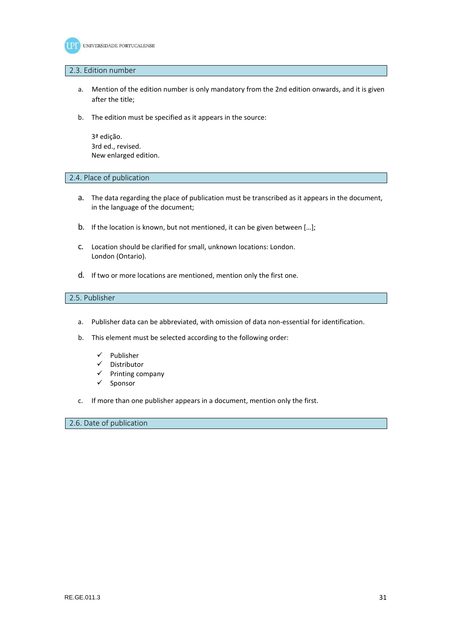

#### 2.3. Edition number

- a. Mention of the edition number is only mandatory from the 2nd edition onwards, and it is given after the title;
- b. The edition must be specified as it appears in the source:

3ª edição. 3rd ed., revised. New enlarged edition.

2.4. Place of publication

- a. The data regarding the place of publication must be transcribed as it appears in the document, in the language of the document;
- b. If the location is known, but not mentioned, it can be given between […];
- c. Location should be clarified for small, unknown locations: London. London (Ontario).
- d. If two or more locations are mentioned, mention only the first one.

# 2.5. Publisher

- a. Publisher data can be abbreviated, with omission of data non-essential for identification.
- b. This element must be selected according to the following order:
	- $\checkmark$  Publisher
	- $\checkmark$  Distributor
	- $\checkmark$  Printing company
	- $\checkmark$  Sponsor
- c. If more than one publisher appears in a document, mention only the first.

### 2.6. Date of publication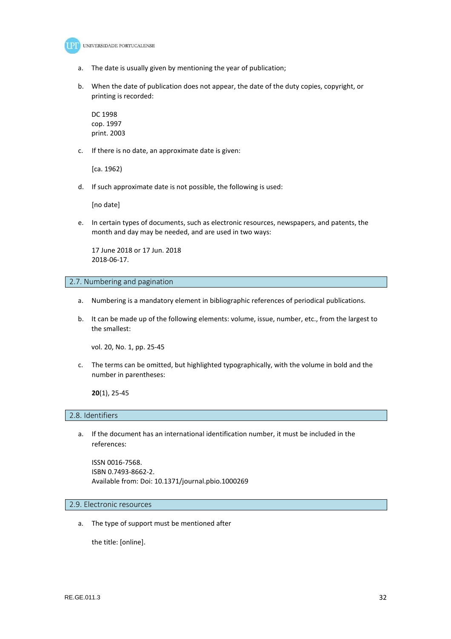

- a. The date is usually given by mentioning the year of publication;
- b. When the date of publication does not appear, the date of the duty copies, copyright, or printing is recorded:

DC 1998 cop. 1997 print. 2003

c. If there is no date, an approximate date is given:

[ca. 1962)

d. If such approximate date is not possible, the following is used:

[no date]

e. In certain types of documents, such as electronic resources, newspapers, and patents, the month and day may be needed, and are used in two ways:

17 June 2018 or 17 Jun. 2018 2018-06-17.

### 2.7. Numbering and pagination

- a. Numbering is a mandatory element in bibliographic references of periodical publications.
- b. It can be made up of the following elements: volume, issue, number, etc., from the largest to the smallest:

vol. 20, No. 1, pp. 25-45

c. The terms can be omitted, but highlighted typographically, with the volume in bold and the number in parentheses:

**20**(1), 25-45

#### 2.8. Identifiers

a. If the document has an international identification number, it must be included in the references:

ISSN 0016-7568. ISBN 0.7493-8662-2. Available from: Doi: 10.1371/journal.pbio.1000269

2.9. Electronic resources

a. The type of support must be mentioned after

the title: [online].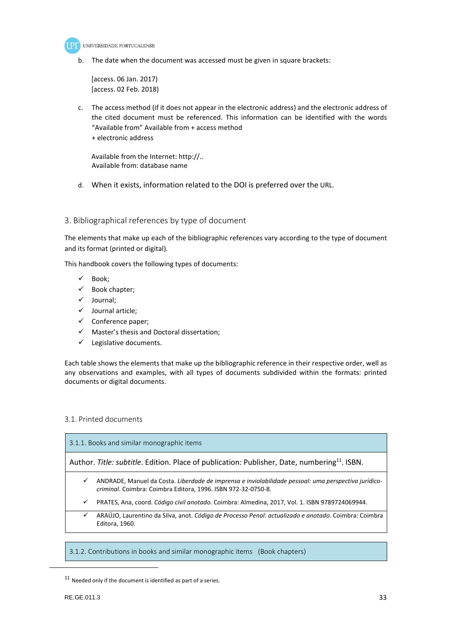

b. The date when the document was accessed must be given in square brackets:

[access. 06 Jan. 2017) [access. 02 Feb. 2018)

c. The access method (if it does not appear in the electronic address) and the electronic address of the cited document must be referenced. This information can be identified with the words "Available from" Available from + access method + electronic address

Available from the Internet: http://.. Available from: database name

d. When it exists, information related to the DOI is preferred over the URL.

# 3. Bibliographical references by type of document

The elements that make up each of the bibliographic references vary according to the type of document and its format (printed or digital).

This handbook covers the following types of documents:

- $\checkmark$  Book:
- $\checkmark$  Book chapter:
- $\checkmark$  Journal;
- $\checkmark$  Journal article;
- $\checkmark$  Conference paper;
- $\checkmark$  Master's thesis and Doctoral dissertation;
- $\checkmark$  Legislative documents.

Each table shows the elements that make up the bibliographic reference in their respective order, well as any observations and examples, with all types of documents subdivided within the formats: printed documents or digital documents.

# 3.1. Printed documents

| 3.1.1. Books and similar monographic items |                                                                                                                                                                       |  |
|--------------------------------------------|-----------------------------------------------------------------------------------------------------------------------------------------------------------------------|--|
|                                            | Author. Title: subtitle. Edition. Place of publication: Publisher, Date, numbering <sup>11</sup> . ISBN.                                                              |  |
| ✓                                          | ANDRADE, Manuel da Costa. Liberdade de imprensa e inviolabilidade pessoal: uma perspectiva jurídico-<br>criminal. Coimbra: Coimbra Editora, 1996. ISBN 972-32-0750-8. |  |
| ✓                                          | PRATES, Ana, coord. Código civil anotado. Coimbra: Almedina, 2017, Vol. 1. ISBN 9789724069944.                                                                        |  |
| ✓                                          | ARAÚJO, Laurentino da Silva, anot. Código de Processo Penal: actualizado e anotado. Coimbra: Coimbra<br>Editora, 1960.                                                |  |
|                                            |                                                                                                                                                                       |  |

<sup>3.1.2.</sup> Contributions in books and similar monographic items (Book chapters)

 $\overline{a}$ 

 $11$  Needed only if the document is identified as part of a series.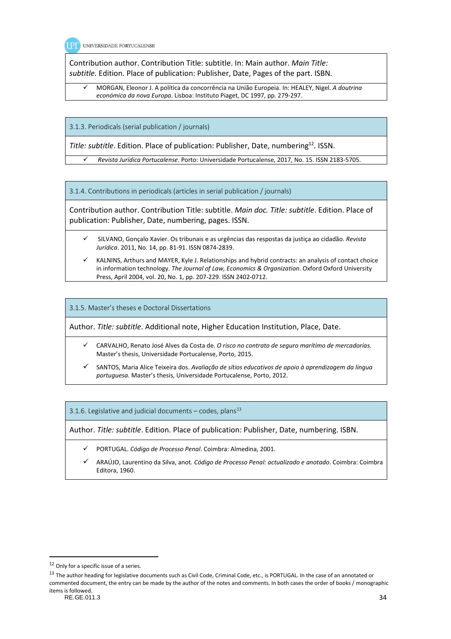

Contribution author. Contribution Title: subtitle. In: Main author. *Main Title: subtitle.* Edition. Place of publication: Publisher, Date, Pages of the part. ISBN.

 MORGAN, Eleonor J. A política da concorrência na União Europeia. In: HEALEY, Nigel. *A doutrina económica da nova Europa*. Lisboa: Instituto Piaget, DC 1997, pp. 279-297.

3.1.3. Periodicals (serial publication / journals)

*Title: subtitle*. Edition. Place of publication: Publisher, Date, numbering<sup>12</sup>. ISSN.

*Revista Jurídica Portucalense*. Porto: Universidade Portucalense, 2017, No. 15. ISSN 2183-5705.

3.1.4. Contributions in periodicals (articles in serial publication / journals)

Contribution author. Contribution Title: subtitle. *Main doc. Title: subtitle*. Edition. Place of publication: Publisher, Date, numbering, pages. ISSN.

- SILVANO, Gonçalo Xavier. Os tribunais e as urgências das respostas da justiça ao cidadão. *Revista Jurídica*. 2011, No. 14, pp. 81-91. ISSN 0874-2839.
- KALNINS, Arthurs and MAYER, Kyle J. Relationships and hybrid contracts: an analysis of contact choice in information technology. *The Journal of Law, Economics & Organization*. Oxford Oxford University Press, April 2004, vol. 20, No. 1, pp. 207-229. ISSN 2402-0712.

3.1.5. Master's theses e Doctoral Dissertations

Author. *Title: subtitle*. Additional note, Higher Education Institution, Place, Date.

- CARVALHO, Renato José Alves da Costa de. *O risco no contrato de seguro marítimo de mercadorias*. Master's thesis, Universidade Portucalense, Porto, 2015.
- SANTOS, Maria Alice Teixeira dos. *Avaliação de sítios educativos de apoio à aprendizagem da língua portuguesa.* Master's thesis, Universidade Portucalense, Porto, 2012.

3.1.6. Legislative and judicial documents – codes, plans<sup>13</sup>

Author. *Title: subtitle*. Edition. Place of publication: Publisher, Date, numbering. ISBN.

- PORTUGAL. *Código de Processo Penal*. Coimbra: Almedina, 2001.
- ARAÚJO, Laurentino da Silva, anot. *Código de Processo Penal: actualizado e anotado*. Coimbra: Coimbra Editora, 1960.

RE.GE.011.3 34 <sup>13</sup> The author heading for legislative documents such as Civil Code, Criminal Code, etc., is PORTUGAL. In the case of an annotated or commented document, the entry can be made by the author of the notes and comments. In both cases the order of books / monographic items is followed.

<sup>12</sup> Only for a specific issue of a series.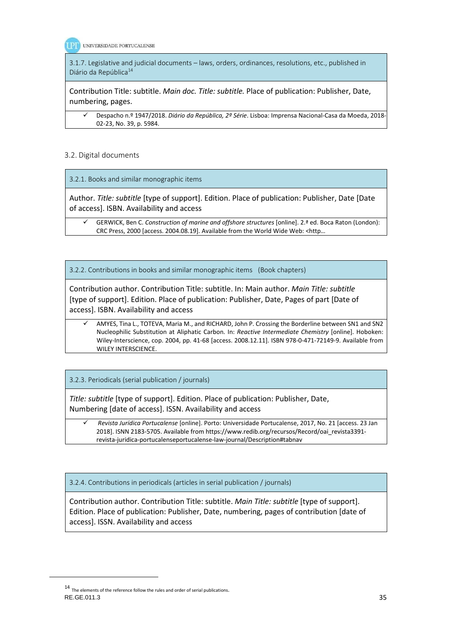

3.1.7. Legislative and judicial documents – laws, orders, ordinances, resolutions, etc., published in Diário da República<sup>14</sup>

Contribution Title: subtitle. *Main doc. Title: subtitle.* Place of publication: Publisher, Date, numbering, pages.

 Despacho n.º 1947/2018. *Diário da República, 2º Série*. Lisboa: Imprensa Nacional-Casa da Moeda, 2018- 02-23, No. 39, p. 5984.

# 3.2. Digital documents

3.2.1. Books and similar monographic items

Author. *Title: subtitle* [type of support]. Edition. Place of publication: Publisher, Date [Date of access]. ISBN. Availability and access

 GERWICK, Ben C. *Construction of marine and offshore structures* [online]. 2.ª ed. Boca Raton (London): CRC Press, 2000 [access. 2004.08.19]. Available from the World Wide Web: <http…

3.2.2. Contributions in books and similar monographic items (Book chapters)

Contribution author. Contribution Title: subtitle. In: Main author. *Main Title: subtitle*  [type of support]. Edition. Place of publication: Publisher, Date, Pages of part [Date of access]. ISBN. Availability and access

#### AMYES, Tina L., TOTEVA, Maria M., and RICHARD, John P. Crossing the Borderline between SN1 and SN2 Nucleophilic Substitution at Aliphatic Carbon. In: *Reactive Intermediate Chemistry* [online]. Hoboken: Wiley-Interscience, cop. 2004, pp. 41-68 [access. 2008.12.11]. ISBN 978-0-471-72149-9. Available from WILEY INTERSCIENCE.

3.2.3. Periodicals (serial publication / journals)

*Title: subtitle* [type of support]. Edition. Place of publication: Publisher, Date, Numbering [date of access]. ISSN. Availability and access

 *Revista Jurídica Portucalense* [online]. Porto: Universidade Portucalense, 2017, No. 21 [access. 23 Jan 2018]. ISNN 2183-5705. Available from https://www.redib.org/recursos/Record/oai\_revista3391 revista-juridica-portucalenseportucalense-law-journal/Description#tabnav

3.2.4. Contributions in periodicals (articles in serial publication / journals)

Contribution author. Contribution Title: subtitle. *Main Title: subtitle* [type of support]. Edition. Place of publication: Publisher, Date, numbering, pages of contribution [date of access]. ISSN. Availability and access

 $\overline{a}$ 

RE.GE.011.3 35  $14\,$  The elements of the reference follow the rules and order of serial publications.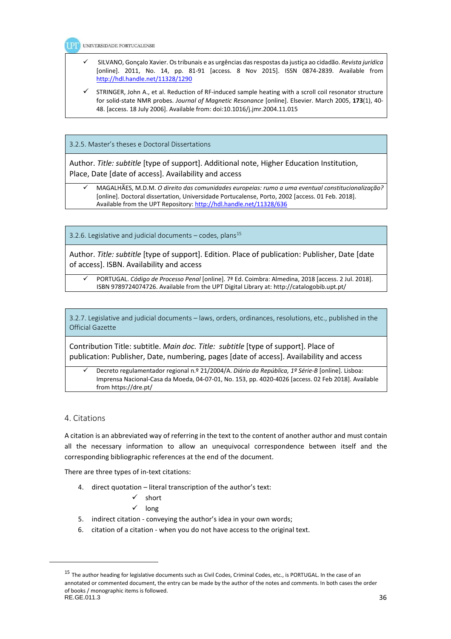UNIVERSIDADE PORTUCALENSE

- SILVANO, Gonçalo Xavier. Os tribunais e as urgências das respostas da justiça ao cidadão. *Revista jurídica*  [online]. 2011, No. 14, pp. 81-91 [access. 8 Nov 2015]. ISSN 0874-2839. Available from http://hdl.handle.net/11328/1290
- STRINGER, John A., et al. Reduction of RF-induced sample heating with a scroll coil resonator structure for solid-state NMR probes. *Journal of Magnetic Resonance* [online]. Elsevier. March 2005, **173**(1), 40- 48. [access. 18 July 2006]. Available from: doi:10.1016/j.jmr.2004.11.015

3.2.5. Master's theses e Doctoral Dissertations

Author. *Title: subtitle* [type of support]. Additional note, Higher Education Institution, Place, Date [date of access]. Availability and access

 MAGALHÃES, M.D.M. *O direito das comunidades europeias: rumo a uma eventual constitucionalização?* [online]. Doctoral dissertation, Universidade Portucalense, Porto, 2002 [access. 01 Feb. 2018]. Available from the UPT Repository: http://hdl.handle.net/11328/636

3.2.6. Legislative and judicial documents – codes, plans<sup>15</sup>

Author. *Title: subtitle* [type of support]. Edition. Place of publication: Publisher, Date [date of access]. ISBN. Availability and access

 PORTUGAL. *Código de Processo Penal* [online]. 7ª Ed. Coimbra: Almedina, 2018 [access. 2 Jul. 2018]. ISBN 9789724074726. Available from the UPT Digital Library at: http://catalogobib.upt.pt/

3.2.7. Legislative and judicial documents – laws, orders, ordinances, resolutions, etc., published in the Official Gazette

Contribution Title: subtitle. *Main doc. Title: subtitle* [type of support]. Place of publication: Publisher, Date, numbering, pages [date of access]. Availability and access

 Decreto regulamentador regional n.º 21/2004/A. *Diário da República, 1º Série-B* [online]. Lisboa: Imprensa Nacional-Casa da Moeda, 04-07-01, No. 153, pp. 4020-4026 [access. 02 Feb 2018]. Available from https://dre.pt/

# 4. Citations

A citation is an abbreviated way of referring in the text to the content of another author and must contain all the necessary information to allow an unequivocal correspondence between itself and the corresponding bibliographic references at the end of the document.

There are three types of in-text citations:

4. direct quotation – literal transcription of the author's text:

 $\checkmark$  short

 $\checkmark$  long

- 5. indirect citation conveying the author's idea in your own words;
- 6. citation of a citation when you do not have access to the original text.

 $RE.GE.011.3$  36 <sup>15</sup> The author heading for legislative documents such as Civil Codes, Criminal Codes, etc., is PORTUGAL. In the case of an annotated or commented document, the entry can be made by the author of the notes and comments. In both cases the order of books / monographic items is followed.<br>RE.GE.011.3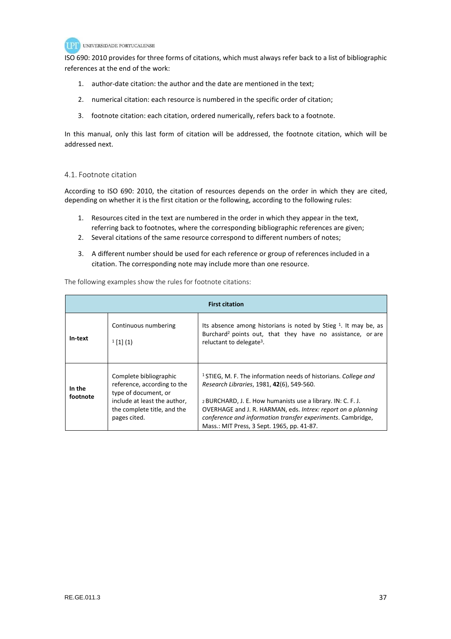

ISO 690: 2010 provides for three forms of citations, which must always refer back to a list of bibliographic references at the end of the work:

- 1. author-date citation: the author and the date are mentioned in the text;
- 2. numerical citation: each resource is numbered in the specific order of citation;
- 3. footnote citation: each citation, ordered numerically, refers back to a footnote.

In this manual, only this last form of citation will be addressed, the footnote citation, which will be addressed next.

# 4.1. Footnote citation

According to ISO 690: 2010, the citation of resources depends on the order in which they are cited, depending on whether it is the first citation or the following, according to the following rules:

- 1. Resources cited in the text are numbered in the order in which they appear in the text, referring back to footnotes, where the corresponding bibliographic references are given;
- 2. Several citations of the same resource correspond to different numbers of notes;
- 3. A different number should be used for each reference or group of references included in a citation. The corresponding note may include more than one resource.

The following examples show the rules for footnote citations:

| <b>First citation</b> |                                                                                                                                                              |                                                                                                                                                                                                                                                                                                                                                                     |  |
|-----------------------|--------------------------------------------------------------------------------------------------------------------------------------------------------------|---------------------------------------------------------------------------------------------------------------------------------------------------------------------------------------------------------------------------------------------------------------------------------------------------------------------------------------------------------------------|--|
| In-text               | Continuous numbering<br>$1$ [1] (1)                                                                                                                          | Its absence among historians is noted by Stieg $1$ . It may be, as<br>Burchard <sup>2</sup> points out, that they have no assistance, or are<br>reluctant to delegate <sup>3</sup> .                                                                                                                                                                                |  |
| In the<br>footnote    | Complete bibliographic<br>reference, according to the<br>type of document, or<br>include at least the author,<br>the complete title, and the<br>pages cited. | <sup>1</sup> STIEG, M. F. The information needs of historians. College and<br>Research Libraries, 1981, 42(6), 549-560.<br>2 BURCHARD, J. E. How humanists use a library. IN: C. F. J.<br>OVERHAGE and J. R. HARMAN, eds. Intrex: report on a planning<br>conference and information transfer experiments. Cambridge,<br>Mass.: MIT Press, 3 Sept. 1965, pp. 41-87. |  |